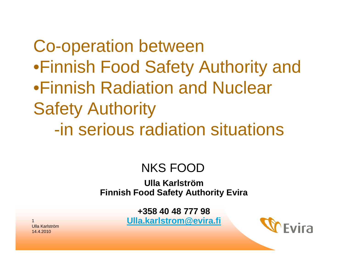Co-operation between •Finnish Food Safety Authority and •Finnish Radiation and Nuclear Safety Authority -in serious radiation situations

#### NKS FOOD

**Ulla KarlströmFinnish Food Safety Authority Evira**

> **+358 40 48 777 98[Ulla.karlstrom@evira.fi](mailto:Ulla.karlstrom@evira.fi)**

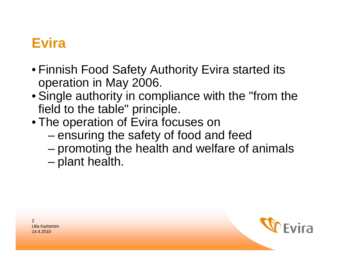#### **Evira**

- Finnish Food Safety Authority Evira started its operation in May 2006.
- Single authority in compliance with the "from the field to the table" principle.
- The operation of Evira focuses on
	- – $-$  ensuring the safety of food and feed
	- – $-$  promoting the health and welfare of animals
	- –– plant health.

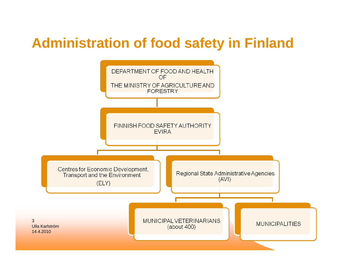#### **Administration of food safety in Finland**

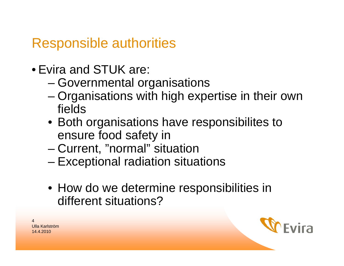**Responsible authorities** 

- Evira and STUK are:
	- Governmental organisations
	- Organisations with high expertise in their own fields
	- Both organisations have responsibilites to ensure food safety in
	- Current, "normal" situation
	- Exceptional radiation situations
	- How do we determine responsibilities in different situations?



<u> Ulla Karlström</u> 14 4 2010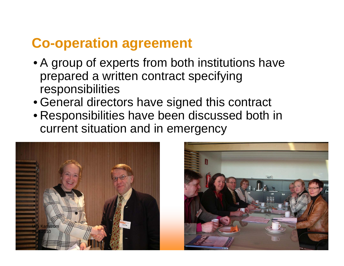#### **Co-operation agreement**

- A group of experts from both institutions have prepared a written contract specifying responsibilities
- General directors have signed this contract
- Responsibilities have been discussed both in current situation and in emergency



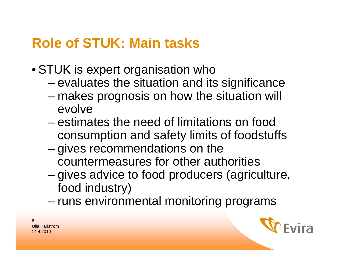### **Role of STUK: Main tasks**

- STUK is expert organisation who
	- – $-$  evaluates the situation and its significance
	- – makes prognosis on how the situation will evolve
	- –estimates the need of limitations on food consumption and safety limits of foodstuffs
	- –– gives recommendations on the countermeasures for other authorities
	- –– gives advice to food producers (agriculture, food industry)
	- –– runs environmental monitoring programs

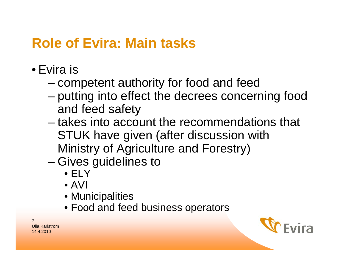### **Role of Evira: Main tasks**

- •Evira is
	- –– competent authority for food and feed
	- – putting into effect the decrees concerning food and feed safety
	- –– takes into account the recommendations that STUK have given (after discussion with Ministry of Agriculture and Forestry)
	- –– Gives guidelines to
		- ELY
		- AVI
		- Municipalities
		- Food and feed business operators

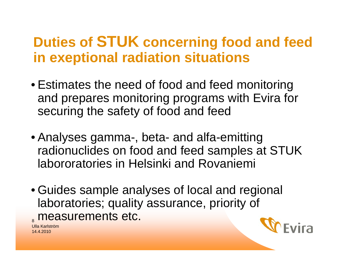### **Duties of STUK concerning food and feed in exeptional radiation situations**

- Estimates the need of food and feed monitoring and prepares monitoring programs with Evira for securing the safety of food and feed
- Analyses gamma-, beta- and alfa-emitting radionuclides on food and feed samples at STUK labororatories in Helsinki and Rovaniemi
- Guides sample analyses of local and regional laboratories; quality assurance, priority of <sub>。</sub>measurements etc.

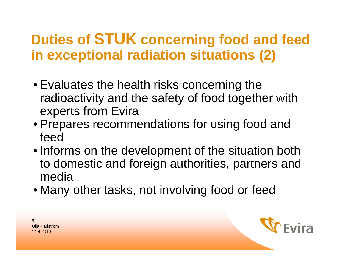## **Duties of STUK concerning food and feed in exceptional radiation situations (2)**

- Evaluates the health risks concerning the radioactivity and the safety of food together with experts from Evira
- Prepares recommendations for using food and feed
- Informs on the development of the situation both to domestic and foreign authorities, partners and media
- Many other tasks, not involving food or feed

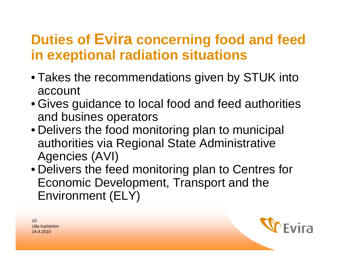### **Duties of Evira concerning food and feed in exeptional radiation situations**

- Takes the recommendations given by STUK into account
- Gives guidance to local food and feed authorities and busines operators
- Delivers the food monitoring plan to municipal authorities via Regional State Administrative Agencies (AVI)
- Delivers the feed monitoring plan to Centres for Economic Development, Transport and the Environment (ELY)

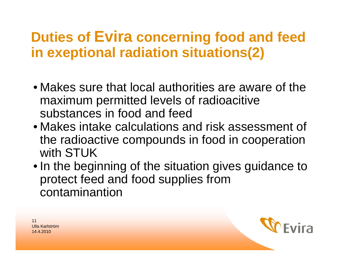### **Duties of Evira concerning food and feed in exeptional radiation situations(2)**

- Makes sure that local authorities are aware of the maximum permitted levels of radioacitive substances in food and feed
- Makes intake calculations and risk assessment of the radioactive compounds in food in cooperation with STUK
- In the beginning of the situation gives guidance to protect feed and food supplies from contaminantion

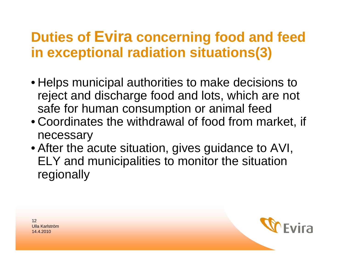### **Duties of Evira concerning food and feed in exceptional radiation situations(3)**

- Helps municipal authorities to make decisions to reject and discharge food and lots, which are not safe for human consumption or animal feed
- Coordinates the withdrawal of food from market, if necessary
- After the acute situation, gives guidance to AVI, ELY and municipalities to monitor the situation regionally

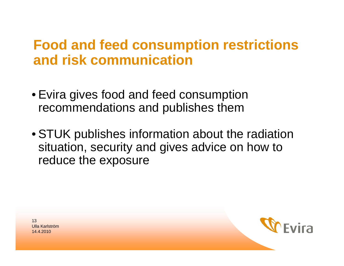#### **Food and feed consumption restrictions** and risk communication

- Evira gives food and feed consumption recommendations and publishes them
- STUK publishes information about the radiation situation, security and gives advice on how to reduce the exposure

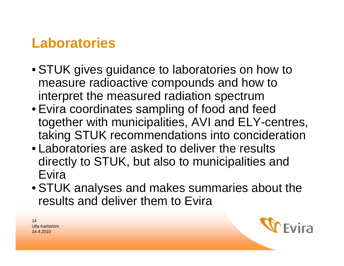### **Laboratories**

- STUK gives guidance to laboratories on how to measure radioactive compounds and how to interpret the measured radiation spectrum
- Evira coordinates sampling of food and feed together with municipalities, AVI and ELY-centres, taking STUK recommendations into concideration
- Laboratories are asked to deliver the results directly to STUK, but also to municipalities and Evira
- STUK analyses and makes summaries about the results and deliver them to Evira

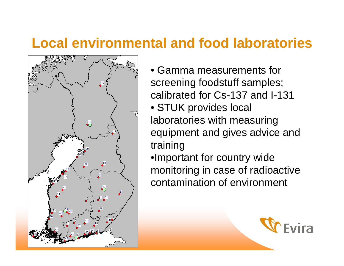#### **Local environmental and food laboratories**



- •Gamma measurements for screening foodstuff samples; calibrated for Cs-137 and I-131• STUK provides local laboratories with measuring equipment and gives advice and training
- •Important for country wide monitoring in case of radioactive contamination of environment

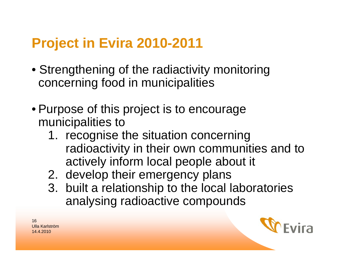# **Project in Evira 2010-2011**

- Strengthening of the radiactivity monitoring concerning food in municipalities
- Purpose of this project is to encourage municipalities to
	- 1. recognise the situation concerning radioactivity in their own communities and to actively inform local people about it
	- 2. develop their emergency plans
	- 3. built a relationship to the local laboratories analysing radioactive compounds